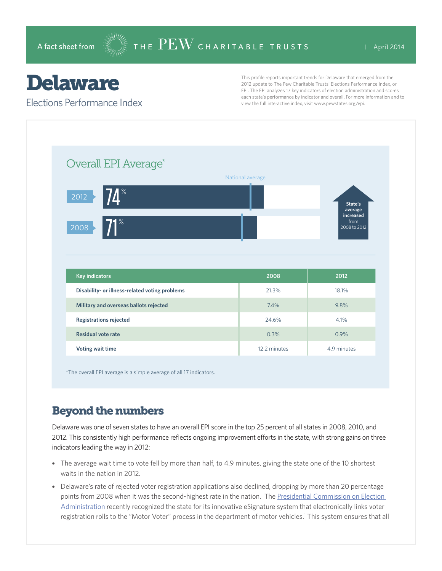# Delaware

#### Elections Performance Index

This profile reports important trends for Delaware that emerged from the 2012 update to The Pew Charitable Trusts' Elections Performance Index, or EPI. The EPI analyzes 17 key indicators of election administration and scores each state's performance by indicator and overall. For more information and to view the full interactive index, visit www.pewstates.org/epi.

| Overall EPI Average*                                                                      | National average |                                                         |
|-------------------------------------------------------------------------------------------|------------------|---------------------------------------------------------|
| <b>74</b> $\mathrm{^{\mathrm{2}}}$<br>$ 2012\rangle$<br>$71^{\circ}$<br>$\overline{2008}$ |                  | State's<br>average<br>increased<br>from<br>2008 to 2012 |
|                                                                                           |                  |                                                         |
| <b>Key indicators</b>                                                                     | 2008             | 2012                                                    |
| Disability- or illness-related voting problems                                            | 21.3%            | 18.1%                                                   |
| Military and overseas ballots rejected                                                    | 7.4%             | 9.8%                                                    |
| <b>Registrations rejected</b>                                                             | 24.6%            | 4.1%                                                    |
| <b>Residual vote rate</b>                                                                 | 0.3%             | 0.9%                                                    |

\*The overall EPI average is a simple average of all 17 indicators.

### Beyond the numbers

Delaware was one of seven states to have an overall EPI score in the top 25 percent of all states in 2008, 2010, and 2012. This consistently high performance reflects ongoing improvement efforts in the state, with strong gains on three indicators leading the way in 2012:

- The average wait time to vote fell by more than half, to 4.9 minutes, giving the state one of the 10 shortest waits in the nation in 2012.
- Delaware's rate of rejected voter registration applications also declined, dropping by more than 20 percentage points from 2008 when it was the second-highest rate in the nation. The [Presidential Commission on Election](http://www.supportthevoter.gov/)  [Administration](http://www.supportthevoter.gov/) recently recognized the state for its innovative eSignature system that electronically links voter registration rolls to the "Motor Voter" process in the department of motor vehicles.<sup>1</sup> This system ensures that all